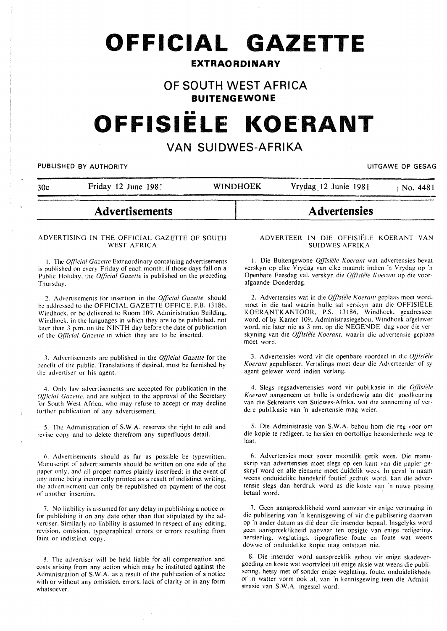**OFFICIAL GAZETTE** 

# **EXTRAORDINARY**

# **OF SOUTH WEST AFRICA**

**BUITENGEWONE** 

# **OFFISIELE KOERANT**

# **VAN SUIDWES-AFRIKA**

# PUBLISHED BY AUTHORITY **EXECUTE A SECURE 2018 THE SECURE 2019 OF SESAGREED BY AUTHORITY**

30c Friday 12 June 198. WINDHOEK Vrydag 12 Junie 1981 No. 4481

# **Advertisements**

# ADVERTISING IN THE OFFICIAL GAZETTE OF SOUTH WEST AFRICA

I. The *Q[77cial Gazelle* Extraordinary containing advertisements is published on every Friday of each month: if those days fall on a Public Holiday. the *Ql]lcial Gazelle* is published on the preceding Thursday.

2. Advertisements for insertion in the *Official Gazette* should he addressed to the OFFICIAL GAZETTE OFFICE. P.B. 13186. Windhoek, or be delivered to Room 109. Administration Building, Windhoek. in the languages in which they are to be published. not later than 3 p.m. on the NINTH day before the date of publication of the *Qfl/cial Gazette* in which they are to be inserted.

3. Advertisements arc published in the *Official Gazette* for the benefit of the public. Translations if desired. must be furnished by the advertiser or his agent.

4. Only law advertisements are accepted for publication in the *Qfficial Gazette, and are subject to the approval of the Secretary* for South West Africa. who may refuse to accept or may decline further publication of any advertisement.

5. The Administration of S.W.A. reserves the right to edit and revise copy and to delete therefrom any superfluous detail.

6. Advertisements should as far as possible be typewritten. Manuscript of advertisements should be written on one side of the paper only. and all proper names plainly inscribed: in the event of any name being incorrectly printed as a result of indistinct writing. the advertisement can only be republished on payment of the cost of another insertion.

7. No liability is assumed for any delay in publishing a notice or for publishing it on any date other than that stipulated by the advertiser. Similarly no liability is assumed in respect of any editing. revision. omission. typographical errors or errors resulting from faint or indistinct copy.

R. The advertiser will be held liable for all compensation and costs arising from any action which may be instituted against the Administration of S.W.A. as a result of the publication of a notice with or without any omission. errors. lack of clarity or in any form whatsoever.

#### ADVERTEER IN DIE OFFISIELE KOERANT VAN SUIDWES-AFRIKA

**Advertensies** 

1. Die Buitengewone *0}}/sii!le Koerant* wat advertensies bevat verskyn op elke Vrydag van elke maand: indien 'n Vrydag op 'n Open bare Feesdag val. verskyn die *Q{fisii!le K oerant* op die voorafgaande Donderdag.

2. Advertensies wat in die *Offisiële Koerant* geplaas moet word. moet in die taal waarin hulle sal verskyn aan die OFFISIELE KOERANTKANTOOR. P.S. 13186. Windhoek. geadresseer word. of by Kamer 109. Administrasiegebou. Windhoek afgelewer word. nie later nie as 3 nm. op die NEGENDE dag voor die verskyning van die *Offisiële Koerant*, waarin die advertensie geplaas moet word.

3. Advertensies word vir die openbare voordeel in die *Q/}isie'/e Koerant* gepubliseer. Vertalings moet dem die Advcrteerder of sy agent gelewer word indien verlang.

4. Slegs regsadvertensies word vir publikasie in die *Q[fisiiife Koerant* aangeneem en hulle is onderhewig aan die gocdkcuring van die Sekretaris van Suidwes-Afrika. wat die aanneming of verdere publikasie van 'n advertensie mag weier.

5. Die Administrasie van S.W.A. behou hom die reg voor om die kopie te redigeer. te hersien en oortollige besonderhede weg te Ia at.

6. Advertensies moet sover moontlik getik wces. Die manuskrip van advertensies moet slegs op een kant van die papier geskryf word en aile eiename moet duidelik wees. In geval ·n naam weens onduidelike handskrif foutief gedruk word. kan die advertensie slegs dan herdruk word as die koste van 'n nuwe plasing betaal word.

7. Geen aanspreek likheid word aanvaar vir enige vertraging in die publisering van 'n kennisgewing of vir die publisering daarvan op 'n ander datum as die deur die insender bepaal. lnsgelyks word geen aanspreeklikheid aanvaar ten opsigte van enige redigering. hersiening. weglatings. tipografiese foute en foute wat weens dowwe of onduidelike kopie mag ontstaan nie.

8. Die insender word aanspreeklik gehou vir enige skadevergoeding en koste wat voortvloei uit enige aksie wat weens die publisering. hetsy met of sonder enige weglating. foute. onduidelikhede of in watter vorm ook al. van 'n kennisgewing teen die Administrasie van S.W.A. ingestel word.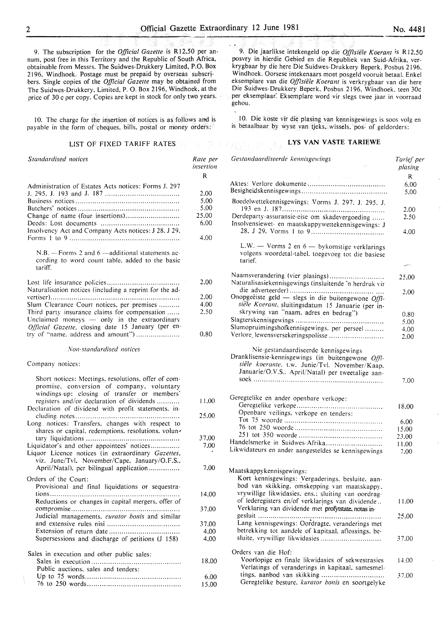9. The subscription for the *Official Gazette* is R 12,50 per annum, post free in this Territory and the Republic of South Africa, obtainable from Messrs. The Suidwes-Drukkery Limited, P.O. Box 2196, Windhoek. Postage must be prepaid by overseas subscribers. Single copies of the *Official Gazette* may be obtained from The Suidwes-Drukkery, Limited, P. 0. Box 2196, Windhoek, at the price of 30 c per copy. Copies are kept in stock for only two years.

10. The charge for the insertion of notices is as follows and is payable in the form of cheques. bills. postal or money orders:

# LIST OF FIXED TARIFF RATES  $\mathbb{E}[\mathbb{E}^{\mathbb{E}} \otimes \mathbb{E}^{\mathbb{E}} \otimes \mathbb{E}^{\mathbb{E}} \otimes \mathbb{E}^{\mathbb{E}}]$

| Standardised notices                                 | Rate per<br>insertion |
|------------------------------------------------------|-----------------------|
|                                                      | R                     |
| Administration of Estates Acts notices: Forms J. 297 |                       |
|                                                      | 2.00                  |
|                                                      | 5.00                  |
|                                                      | 5.00                  |
|                                                      | 25,00                 |
|                                                      | 6.00                  |
| Insolvency Act and Company Acts notices: J 28, J 29. |                       |
|                                                      | 4.00                  |

N.B. ---Forms 2 and 6 -additional statements according to word count table. added to the basic tariff.

|                                                         | 2.00 |
|---------------------------------------------------------|------|
| Naturalisation notices (including a reprint for the ad- |      |
|                                                         | 2.00 |
| Slum Clearance Court notices, per premises              | 4.00 |
| Third party insurance claims for compensation           | 2.50 |
| Unclaimed moneys $-$ only in the extraordinary          |      |
| Official Gazette, closing date 15 January (per en-      |      |
| try of "name, address and amount")                      | 0.80 |

*.Von-standardised 110tices* 

Company notices:

| Short notices: Meetings, resolutions, offer of com-                                                     |       |
|---------------------------------------------------------------------------------------------------------|-------|
| promise, conversion of company, voluntary                                                               |       |
| windings-up: closing of transfer or members'<br>registers and/or declaration of dividends               | 11.00 |
| Declaration of dividend with profit statements, in-                                                     |       |
|                                                                                                         | 25.00 |
| Long notices: Transfers, changes with respect to<br>shares or capital, redemptions, resolutions, volun- |       |
|                                                                                                         | 37.00 |
| Liquidator's and other appointees' notices                                                              | 7.00  |
| Liquor Licence notices (in extraordinary Gazettes,<br>viz. June/Tvl. November/Cape. January/O.F.S.,     |       |
| April/Natal), per bilingual application                                                                 | 7.00  |
| Orders of the Court:<br>Provisional and final liquidations or sequestra-                                |       |
| Reductions or changes in capital mergers. offer of                                                      | 14.00 |
|                                                                                                         | 37.00 |
| Judicial managements, curator bonis and similar                                                         |       |
|                                                                                                         | 37.00 |
|                                                                                                         | 4.00  |
| Supersessions and discharge of petitions (J 158)                                                        | 4.00  |
| Sales in execution and other public sales:                                                              |       |
| Public auctions, sales and tenders:                                                                     | 18,00 |
|                                                                                                         | 6.00  |
|                                                                                                         |       |
|                                                                                                         | 15.00 |

9. Die jaarlikse intekengeld op die *Offisiële Koerant* is R12.50 posvry in hierdie Gebied en die Republiek van Suid-Afrika, verkrygbaar by die here Die Suidwes-Drukkery Beperk, Posbus 2196, Windhoek. Oorsese intekenaars moet posgeld vooruit betaal. Enkel eksemplare van die *Offisiele Koerant* is verkrygbaar van die here Die Suidwes-Drukkery Beperk, Posbus 2196, Windhoek, teen 30c per eksemplaar: Eksemplare word vir slegs twee jaar in voorraad gehou.

!0. Die koste vir die plasing van kennisgewings is soos volg en is betaalbaar by wyse van tjeks, wissels. pos- of geldorders:

## LYS VAN VASTE TARIEWE

| Gestandaardiseerde kennisgewings                                                                                                                                                                  | Tarief per<br>plasing |
|---------------------------------------------------------------------------------------------------------------------------------------------------------------------------------------------------|-----------------------|
| $\alpha$ , and $\alpha$ , and $\alpha$ , and $\alpha$ , and $\alpha$                                                                                                                              | R.                    |
|                                                                                                                                                                                                   | 6,00<br>5.00          |
| Boedelwettekennisgewings: Vorms J. 297, J. 295, J.                                                                                                                                                |                       |
| Derdeparty-assuransie-eise om skadevergoeding                                                                                                                                                     | 2.00                  |
| Insolvensiewet- en maatskappywettekennisgewings: J                                                                                                                                                | 2.50                  |
|                                                                                                                                                                                                   | 4.00                  |
| L.W. $-$ Vorms 2 en $6 -$ by komstige verklarings<br>volgens woordetal-tabel, toegevoeg tot die basiese<br>tarief.                                                                                |                       |
|                                                                                                                                                                                                   |                       |
| Naamsverandering (vier plasings)<br>Naturalisasiekennisgewings (insluitende 'n herdruk vir                                                                                                        | 25,00                 |
| Onopgeëiste geld - slegs in die buitengewone $Offi$ -<br>siële Koerant, sluitingsdatum 15 Januarie (per in-                                                                                       | 2.00                  |
| skrywing van "naam. adres en bedrag")                                                                                                                                                             | 0.80                  |
|                                                                                                                                                                                                   | 5.00                  |
| Slumopruimingshofkennisgewings. per perseel<br>Verlore lewensversekeringspolisse                                                                                                                  | 4.00                  |
|                                                                                                                                                                                                   | 2.00                  |
| Nie-gestandaardiseerde kennisgewings<br>Dranklisensie-kennisgewings (in buitengewone Offi-<br>siële koerante. t.w. Junie/Tvl. November/Kaap.<br>Januarie/O.V.S., April/Natal) per tweetalige aan- | 7.00                  |
|                                                                                                                                                                                                   |                       |
| Geregtelike en ander openbare verkope:                                                                                                                                                            |                       |
| Openbare veilings, verkope en tenders:                                                                                                                                                            | 18.00                 |
|                                                                                                                                                                                                   |                       |
|                                                                                                                                                                                                   | 6.00<br>15.00         |
|                                                                                                                                                                                                   | 23.00                 |
| Handelsmerke in Suidwes-Afrika                                                                                                                                                                    | 11.00                 |
| Likwidateurs en ander aangesteldes se kennisgewings                                                                                                                                               | 7.00                  |
| Maatskappykennisgewings:<br>Kort kennisgewings: Vergaderings. besluite. aan-<br>bod van skikking, omskepping van maatskappy.                                                                      |                       |
| vrywillige likwidasies, ens.: sluiting van oordrag-<br>of lederegisters en/of verklarings van dividende                                                                                           |                       |
| Verklaring van dividende met profytstate, notas in-                                                                                                                                               | 11.00                 |
| Lang kennisgewings: Oordragte, veranderings met                                                                                                                                                   | 25.00                 |
| betrekking tot aandele of kapitaal, aflossings, be-<br>sluite, vrywillige likwidasies                                                                                                             | 37.00                 |
|                                                                                                                                                                                                   |                       |
| Orders van die Hof:                                                                                                                                                                               |                       |
| Voorlopige en finale likwidasies of sekwestrasies<br>Verlatings of veranderings in kapitaal, samesmel-                                                                                            | 14.00                 |
| Geregtelike besture. kurator bonis en soortgelyke                                                                                                                                                 | 37.00                 |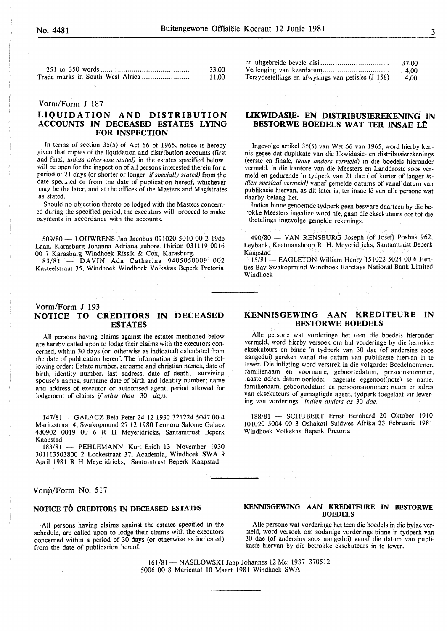| 23.00 |
|-------|
| 11.00 |

# Vorm/Form J 187

# LIQUIDATION AND DISTRIBUTION ACCOUNTS IN DECEASED ESTATES LYING FOR INSPECTION

In terms of section 35(5) of Act 66 of 1965, notice is hereby given that copies of the liquidation and distribution accounts (first and final, *unless otherwise stated)* in the estates specified below will be open for the inspection of all persons interested therein for a period of 21 days (or shorter or longer *if specially stated)* from the date speculed or from the date of publication hereof, whichever may be the later, and at the offices of the Masters and Magistrates as stated.

Should no objection thereto be lodged with the Masters concerned during the specified period, the executors will proceed to make payments in accordance with the accounts.

509/80- LOUWRENS Jan Jacobus 091020 50IO 00 2 19de Laan, Karasburg Johanna Adriana gebore Thirion 031119 0016 00 7 Karasburg Windhoek Rissik & Cox, Karasburg.

83/81 - DAVIN Ada Catharina 9405050009 002 Kasteelstraat 35, Windhoek Windhoek Volkskas Beperk Pretoria

# Vorm/Form J 193 NOTICE TO CREDITORS IN DECEASED ESTATES

All persons having claims against the estates mentioned below are hereby called upon to lodge their claims with the executors concerned, within 30 days (or otherwise as indicated) calculated from the date of publication hereof. The information is given in the following order: Estate number, surname and christian names, date of birth, identity number, last address, date of death; surviving spouse's names, surname date of birth and identity number; name and address of executor or authorised agent, period allowed for lodgement of claims if *other than* 30 *days.* 

147/81- GALACZ Bela Peter 24 12 1932 321224 5047 00 4 Maritzstraat 4, Swakopmund 27 12 1980 Leonora Salome Galacz 480902 0019 00 6 R H Meyeridricks, Santamtrust Beperk Kaapstad

183/81 - PEHLEMANN Kurt Erich 13 November 1930 301113503800 2 Lockestraat 37, Academia, Windhoek SWA 9 April 1981 R H Meyeridricks, Santamtrust Beperk Kaapstad

## Vorm/Form No. 517

#### NOTICE TO CREDITORS IN DECEASED ESTATES

All persons having claims against the estates specified in the schedule, are called upon to lodge their claims with the executors concerned within a period of 30 days (or otherwise as indicated) from the date of publication hereof.

|                                                    | 37.00 |
|----------------------------------------------------|-------|
|                                                    | -4.00 |
| Tersydestellings en afwysings van petisies (J 158) | 4.00  |

# LIKWIDASIE- EN DISTRIBUSIEREKENING IN BESTORWE BOEDELS WAT TER INSAE LE

Ingevolge artikel 35(5) van Wet 66 van 1965, word hierby kennis gegee dat duplikate van die Jikwidasie- en distribusierekenings (eerste en finale, *tensy anders verme!d)* in die boedels hieronder vermeld. in die kantore van die Meesters en Landdroste soos vermeld en gedurende 'n tydperk van 21 dae ( of korter of Ianger *indien spesiaal vermeld)* vanaf gemelde datums of vanaf datum van publikasie hiervan, as dit later is, ter insae lê van alle persone wat daarby belang het.

Indien binne genoemde tydperk geen besware daarteen by die be- ·okke Meesters ingedien word nie, gaan die eksekuteurs oor tot die tbetalings ingevolge gemelde rekenings.

490/80 - VAN RENSBURG Joseph (of Josef) Posbus 962, Leybank, Keetmanshoop R. H. Meyeridricks, Santamtrust Beperk Kaapstad

15/81- EAGLETON William Henry 151022 5024 00 6 Henties Bay Swakopmund Windhoek Barclays National Bank Limited Windhoek

# KENNISGEWING AAN KREDITEURE IN BESTORWE BOEDELS

Aile persone wat vorderinge het teen die boedels hieronder vermeld, word hierby versoek om hul vorderinge by die betrokke eksekuteurs en binne 'n tydperk van 30 dae (of andersins soos aangedui) gereken vanaf die datum van publikasie hiervan in te lewer. Die inligting word verstrek in die volgorde: Boedelnommer, familienaam en voorname, geboortedatum, persoonsnommer: laaste adres, datum oorlede: nagelate eggenoot(note) se name, familienaam, geboortedatum en persoonsnommer; naam en adres van eksekuteurs of gemagtigde agent, tydperk toegelaat vir lewering van vorderings *indien anders as* 30 *dae.* 

188/81 - SCHUBERT Ernst Bernhard 20 Oktober 1910 101020 5004 00 3 Oshakati Suidwes Afrika 23 Februarie 1981 Windhoek Volkskas Beperk Pretoria

#### KENNISGEWING AAN KREDITEURE IN BESTORWE **BOEDELS**

Aile persone wat vorderinge het teen die boedels in die bylae vermeld, word versoek om sodanige vorderings binne 'n tydperk van 30 dae (of andersins soos aangedui) vanaf die datum van publikasie hiervan by die betrokke eksekuteurs in te lewer.

161/81- NASILOWSKI Jaap Johannes 12 Mei I937 370512 5006 00 8 Mariental 10 Maart 1981 Windhoek SW A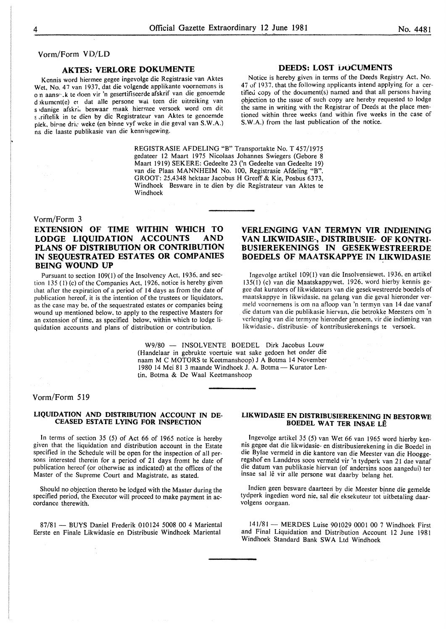## Vorm/Form VD/LD

# AKTES: VERLORE DOKUMENTE

Kennis word hiermee gegee ingevolge die Registrasie van Aktes Wet, No. 47 van 1937, dat die volgende applikante voornemens is o n aansr· .k te doen vir 'n gesertifiseerde afskrif van die genoemde d >kumcnt(e) er dat aile persone wal teen die uitreiking van s •danige afskri. beswaar maak hiermee versoek word om dit s riftelik in te dien by die Registrateur van Aktes te genoemde plek, birne drie weke (en binne vyf weke in die geval van S.W.A.) ns. die laaste publikasie van die kennisgewing.

#### DEEDS: LOST DOCUMENTS

Notice is hereby given in terms of the Deeds Registry Act, No. 47 of 1937. that the following applicants intend applying for a certified copy of the document(s) named and that all persons having objection to the issue of such copy are hereby requested to lodge the same in writing with the Registrar of Deeds at the place mentioned within three weeks (and within five weeks in the case of S.W.A.) from the last publication of the notice.

REGISTRASIE AFDELING "B" Transportakte No. T 457/1975 gedateer 12 Maart 1975 Nicolaas Johannes Swiegers (Gebore 8 Maart 1919) SEKERE: Gedeelte 23 ('n Gedeelte van Gedeelte 19) van die Plaas MANNHEIM No. 100, Registrasie Afdeling "B". GROOT: 25,4348 hektaar Jacobus H Greeff & Kie, Posbus 6373, Windhoek Besware in te dien by die Registrateur van Aktes te Windhoek

#### Vorm/Form 3

# EXTENSION OF TIME WITHIN WHICH TO LODGE LIQUIDATION ACCOUNTS AND PLANS OF DISTRIBUTION OR CONTRIBUTION IN SEQUESTRATED ESTATES OR COMPANIES BEING WOUND UP

Pursuant to section 109(1) of the Insolvency Act, 1936. and section 135 (I) (c) of the Companies Act, 1926, notice is hereby given that after the expiration of a period of 14 days as from the date of publication hereof. it is the intention of the trustees or liquidators, as the case may be, of the sequestrated estates or companies being wound up mentioned below, to apply to the respective Masters for an extension of time, as specified below, within which to lodge liquidation accounts and plans of distribution or contribution.

# VERLENGING VAN TERMYN VIR INDIENING VAN LIKWIDASIE-, DISTRIDUSIE- OF KONTRI-BUSIEREKENINGS IN GESEKWESTREERDE BOEDELS OF MAATSKAPPYE IN LIKWIDASIE

Ingcvolge artikcl 109(1) van die Insolvensicwet. 1936. en artikcl 135(1) (c) van die Maatskappywet, 1926, word hierby kennis gegcc dat kurators of likwidatcurs van die gcsekwestrecrde bocdels of maatskappye in likwidasie, na gelang van die geval hieronder vermeld voornemens is om na afloop van 'n termyn van 14 dae vanaf die datum van die publikasie hicrvan. die betrokkc Mecsters om 'n verlenging van die termyne hieronder genoem, vir die indiening van likwidasie-, distribusie- of kontribusierekenings te versoek.

W9/80 - INSOLVENTE BOEDEL Dirk Jacobus Louw (Handelaar in gebrukte voertuie wat sake gedoen het onder die naam M C MOTORS te Keetmanshoop) J A Botma 14 November 1980 14 Mei 81 3 maande Windhoek J. A. Botma - Kurator Lentin. Botma & De Waal Keetmanshoop

# Vorm/Form 519

#### LIQUIDATION AND DISTRIBUTION ACCOUNT IN DE-CEASED ESTATE LYING FOR INSPECTION

In terms of section 35 (5) of Act 66 of 1965 notice is hereby given that the liquidation and distribution account in the Estate specified in the Schedule will be open for the inspection of all persons interested therein for a period of 21 days fromt he date of publication hereof (or otherwise as indicated) at the offices of the Master of the Supreme Court and Magistrate, as stated.

Should no objection thereto be lodged with the Master during the specified period, the Executor will proceed to make payment in ac- cordance therewith.

87/81 - BUYS Daniel Frederik 010124 5008 00 4 Mariental Eerste en Finale Likwidasie en Distribusie Windhoek Mariental

## LIKWIDASIE EN DISTRIBUSIEREKENING IN BESTORWE BOEDEL WAT TER INSAE LÊ

Ingevolge artikel 35 (5) van Wet 66 van 1965 word hierby kennis gegee dat die likwidasie- en distribusierekening in die Boedel in die Bylae vermeld in die kantore van die Meester van die Hooggeregshof en Landdros soos vermeld vir 'n tydperk van 21 dae vanaf die datum van publikasie hiervan (of andersins soos aangedui) ter insae sal lê vir alle persone wat daarby belang het.

Indien geen besware daarteeri by die Meester binne die gemelde tydperk ingedien word nie, sal die eksekuteur tot uitbetaling daarvolgens oorgaan.

141/81- MERDES Luise 901029 0001 00 7 Windhoek First and Final Liquidation and Distribution Account 12 June 1981 Windhoek Standard Bank SWA Ltd Windhoek